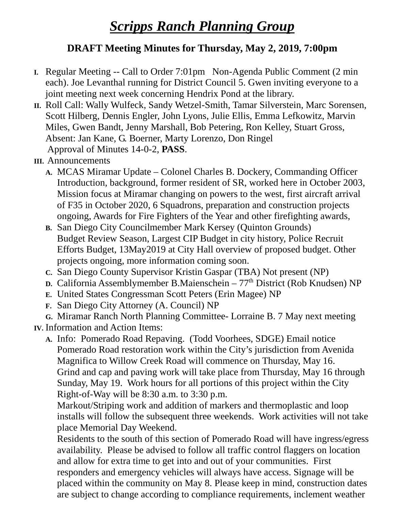## *Scripps Ranch Planning Group*

## **DRAFT Meeting Minutes for Thursday, May 2, 2019, 7:00pm**

- **I.** Regular Meeting -- Call to Order 7:01pm Non-Agenda Public Comment (2 min each). Joe Levanthal running for District Council 5. Gwen inviting everyone to a joint meeting next week concerning Hendrix Pond at the library.
- **II.** Roll Call: Wally Wulfeck, Sandy Wetzel-Smith, Tamar Silverstein, Marc Sorensen, Scott Hilberg, Dennis Engler, John Lyons, Julie Ellis, Emma Lefkowitz, Marvin Miles, Gwen Bandt, Jenny Marshall, Bob Petering, Ron Kelley, Stuart Gross, Absent: Jan Kane, G. Boerner, Marty Lorenzo, Don Ringel Approval of Minutes 14-0-2, **PASS**.
- **III.** Announcements
	- **A.** MCAS Miramar Update Colonel Charles B. Dockery, Commanding Officer Introduction, background, former resident of SR, worked here in October 2003, Mission focus at Miramar changing on powers to the west, first aircraft arrival of F35 in October 2020, 6 Squadrons, preparation and construction projects ongoing, Awards for Fire Fighters of the Year and other firefighting awards,
	- **B.** San Diego City Councilmember Mark Kersey (Quinton Grounds) Budget Review Season, Largest CIP Budget in city history, Police Recruit Efforts Budget, 13May2019 at City Hall overview of proposed budget. Other projects ongoing, more information coming soon.
	- **C.** San Diego County Supervisor Kristin Gaspar (TBA) Not present (NP)
	- **D.** California Assemblymember B.Maienschein 77<sup>th</sup> District (Rob Knudsen) NP
	- **E.** United States Congressman Scott Peters (Erin Magee) NP
	- **F.** San Diego City Attorney (A. Council) NP

**G.** Miramar Ranch North Planning Committee- Lorraine B. 7 May next meeting

**IV.** Information and Action Items:

**A.** Info: Pomerado Road Repaving. (Todd Voorhees, SDGE) Email notice Pomerado Road restoration work within the City's jurisdiction from Avenida Magnifica to Willow Creek Road will commence on Thursday, May 16. Grind and cap and paving work will take place from Thursday, May 16 through Sunday, May 19. Work hours for all portions of this project within the City Right-of-Way will be 8:30 a.m. to 3:30 p.m.

Markout/Striping work and addition of markers and thermoplastic and loop installs will follow the subsequent three weekends. Work activities will not take place Memorial Day Weekend.

Residents to the south of this section of Pomerado Road will have ingress/egress availability. Please be advised to follow all traffic control flaggers on location and allow for extra time to get into and out of your communities. First responders and emergency vehicles will always have access. Signage will be placed within the community on May 8. Please keep in mind, construction dates are subject to change according to compliance requirements, inclement weather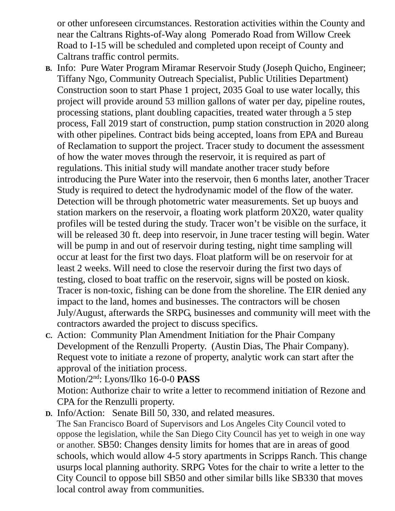or other unforeseen circumstances. Restoration activities within the County and near the Caltrans Rights-of-Way along Pomerado Road from Willow Creek Road to I-15 will be scheduled and completed upon receipt of County and Caltrans traffic control permits.

- **B.** Info: Pure Water Program Miramar Reservoir Study (Joseph Quicho, Engineer; Tiffany Ngo, Community Outreach Specialist, Public Utilities Department) Construction soon to start Phase 1 project, 2035 Goal to use water locally, this project will provide around 53 million gallons of water per day, pipeline routes, processing stations, plant doubling capacities, treated water through a 5 step process, Fall 2019 start of construction, pump station construction in 2020 along with other pipelines. Contract bids being accepted, loans from EPA and Bureau of Reclamation to support the project. Tracer study to document the assessment of how the water moves through the reservoir, it is required as part of regulations. This initial study will mandate another tracer study before introducing the Pure Water into the reservoir, then 6 months later, another Tracer Study is required to detect the hydrodynamic model of the flow of the water. Detection will be through photometric water measurements. Set up buoys and station markers on the reservoir, a floating work platform 20X20, water quality profiles will be tested during the study. Tracer won't be visible on the surface, it will be released 30 ft. deep into reservoir, in June tracer testing will begin. Water will be pump in and out of reservoir during testing, night time sampling will occur at least for the first two days. Float platform will be on reservoir for at least 2 weeks. Will need to close the reservoir during the first two days of testing, closed to boat traffic on the reservoir, signs will be posted on kiosk. Tracer is non-toxic, fishing can be done from the shoreline. The EIR denied any impact to the land, homes and businesses. The contractors will be chosen July/August, afterwards the SRPG, businesses and community will meet with the contractors awarded the project to discuss specifics.
- **C.** Action: Community Plan Amendment Initiation for the Phair Company Development of the Renzulli Property. (Austin Dias, The Phair Company). Request vote to initiate a rezone of property, analytic work can start after the approval of the initiation process.

Motion/2nd: Lyons/Ilko 16-0-0 **PASS**

Motion: Authorize chair to write a letter to recommend initiation of Rezone and CPA for the Renzulli property.

**D.** Info/Action: Senate Bill 50, 330, and related measures. The San Francisco Board of Supervisors and Los Angeles City Council voted to oppose the legislation, while the San Diego City Council has yet to weigh in one way or another. SB50: Changes density limits for homes that are in areas of good schools, which would allow 4-5 story apartments in Scripps Ranch. This change usurps local planning authority. SRPG Votes for the chair to write a letter to the City Council to oppose bill SB50 and other similar bills like SB330 that moves local control away from communities.